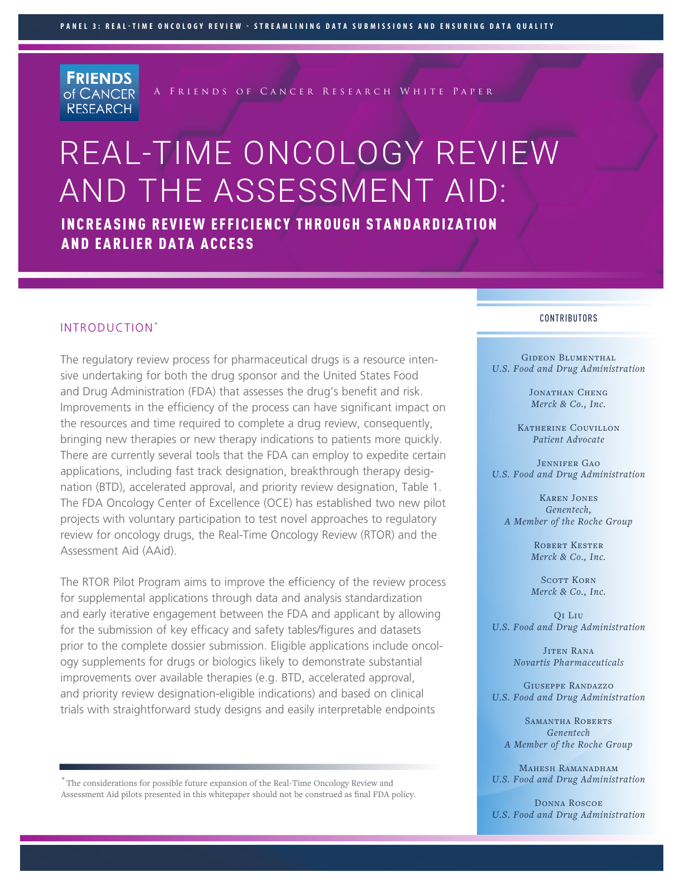**FRIENDS** of CANCER **RESEARCH** 

A Friends of Cancer Research White Paper

# REAL-TIME ONCOLOGY REVIEW AND THE ASSESSMENT AID:

INCREASING REVIEW EFFICIENCY THROUGH STANDARDIZATION AND EARLIER DATA ACCESS

#### INTRODUCTION\*

The regulatory review process for pharmaceutical drugs is a resource intensive undertaking for both the drug sponsor and the United States Food and Drug Administration (FDA) that assesses the drug's benefit and risk. Improvements in the efficiency of the process can have significant impact on the resources and time required to complete a drug review, consequently, bringing new therapies or new therapy indications to patients more quickly. There are currently several tools that the FDA can employ to expedite certain applications, including fast track designation, breakthrough therapy designation (BTD), accelerated approval, and priority review designation, Table 1. The FDA Oncology Center of Excellence (OCE) has established two new pilot projects with voluntary participation to test novel approaches to regulatory review for oncology drugs, the Real-Time Oncology Review (RTOR) and the Assessment Aid (AAid).

The RTOR Pilot Program aims to improve the efficiency of the review process for supplemental applications through data and analysis standardization and early iterative engagement between the FDA and applicant by allowing for the submission of key efficacy and safety tables/figures and datasets prior to the complete dossier submission. Eligible applications include oncology supplements for drugs or biologics likely to demonstrate substantial improvements over available therapies (e.g. BTD, accelerated approval, and priority review designation-eligible indications) and based on clinical trials with straightforward study designs and easily interpretable endpoints

\* The considerations for possible future expansion of the Real-Time Oncology Review and Assessment Aid pilots presented in this whitepaper should not be construed as final FDA policy.

#### CONTRIBUTORS

GIDEON BLUMENTHAL *U.S. Food and Drug Administration*

> JONATHAN CHENG *Merck & Co., Inc.*

Katherine Couvillon *Patient Advocate*

JENNIFER GAO *U.S. Food and Drug Administration*

Karen Jones *Genentech, A Member of the Roche Group*

> Robert Kester *Merck & Co., Inc.*

> SCOTT KORN *Merck & Co., Inc.*

Qi Liu *U.S. Food and Drug Administration*

> Jiten Rana *Novartis Pharmaceuticals*

Giuseppe Randazzo *U.S. Food and Drug Administration*

Samantha Roberts *Genentech A Member of the Roche Group*

MAHESH RAMANADHAM *U.S. Food and Drug Administration*

Donna Roscoe *U.S. Food and Drug Administration*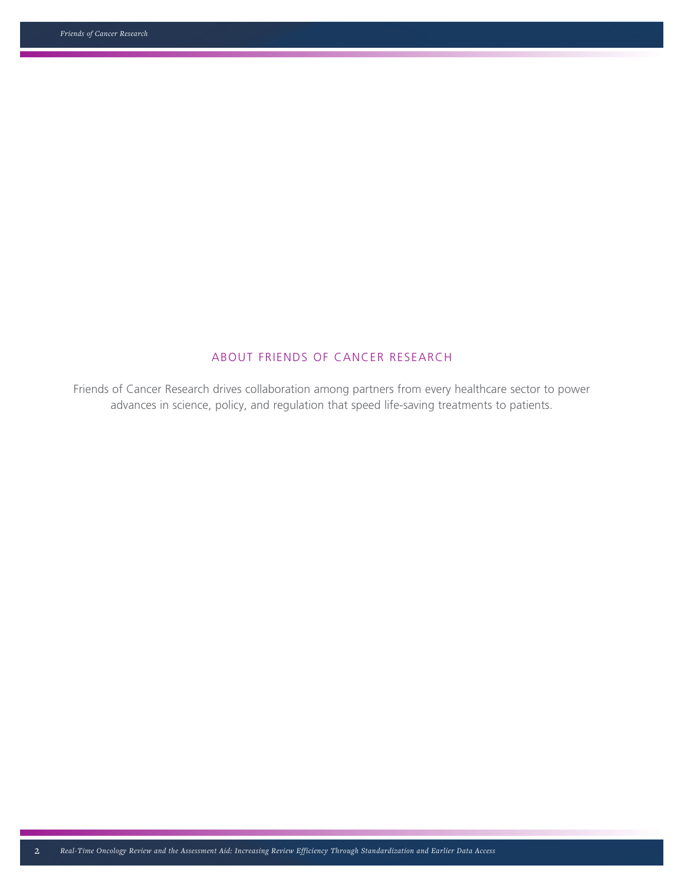# ABOUT FRIENDS OF CANCER RESEARCH

Friends of Cancer Research drives collaboration among partners from every healthcare sector to power advances in science, policy, and regulation that speed life-saving treatments to patients.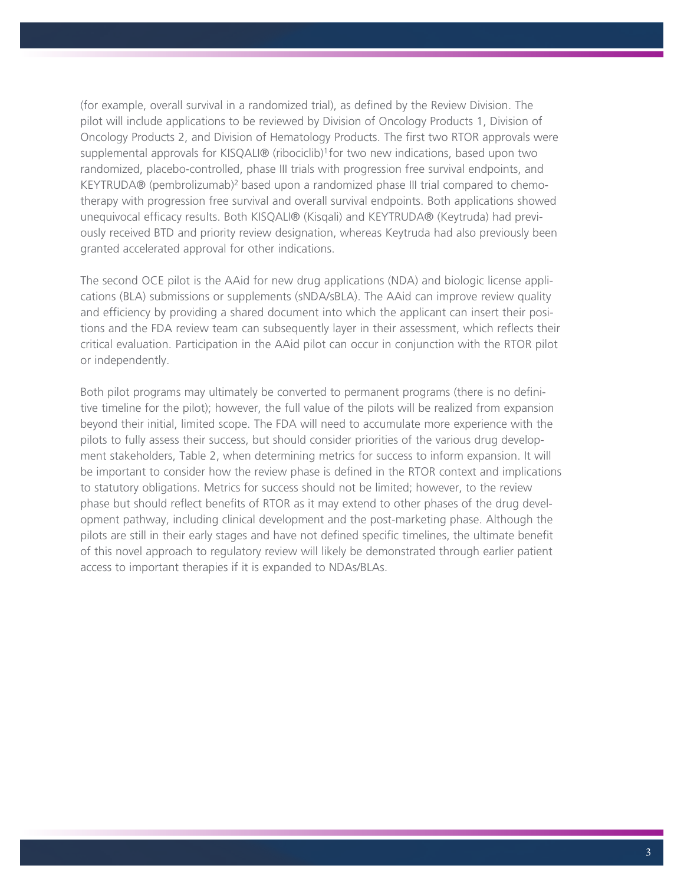(for example, overall survival in a randomized trial), as defined by the Review Division. The pilot will include applications to be reviewed by Division of Oncology Products 1, Division of Oncology Products 2, and Division of Hematology Products. The first two RTOR approvals were supplemental approvals for KISQALI® (ribociclib)<sup>1</sup> for two new indications, based upon two randomized, placebo-controlled, phase III trials with progression free survival endpoints, and KEYTRUDA® (pembrolizumab)<sup>2</sup> based upon a randomized phase III trial compared to chemotherapy with progression free survival and overall survival endpoints. Both applications showed unequivocal efficacy results. Both KISQALI® (Kisqali) and KEYTRUDA® (Keytruda) had previously received BTD and priority review designation, whereas Keytruda had also previously been granted accelerated approval for other indications.

The second OCE pilot is the AAid for new drug applications (NDA) and biologic license applications (BLA) submissions or supplements (sNDA/sBLA). The AAid can improve review quality and efficiency by providing a shared document into which the applicant can insert their positions and the FDA review team can subsequently layer in their assessment, which reflects their critical evaluation. Participation in the AAid pilot can occur in conjunction with the RTOR pilot or independently.

Both pilot programs may ultimately be converted to permanent programs (there is no definitive timeline for the pilot); however, the full value of the pilots will be realized from expansion beyond their initial, limited scope. The FDA will need to accumulate more experience with the pilots to fully assess their success, but should consider priorities of the various drug development stakeholders, Table 2, when determining metrics for success to inform expansion. It will be important to consider how the review phase is defined in the RTOR context and implications to statutory obligations. Metrics for success should not be limited; however, to the review phase but should reflect benefits of RTOR as it may extend to other phases of the drug development pathway, including clinical development and the post-marketing phase. Although the pilots are still in their early stages and have not defined specific timelines, the ultimate benefit of this novel approach to regulatory review will likely be demonstrated through earlier patient access to important therapies if it is expanded to NDAs/BLAs.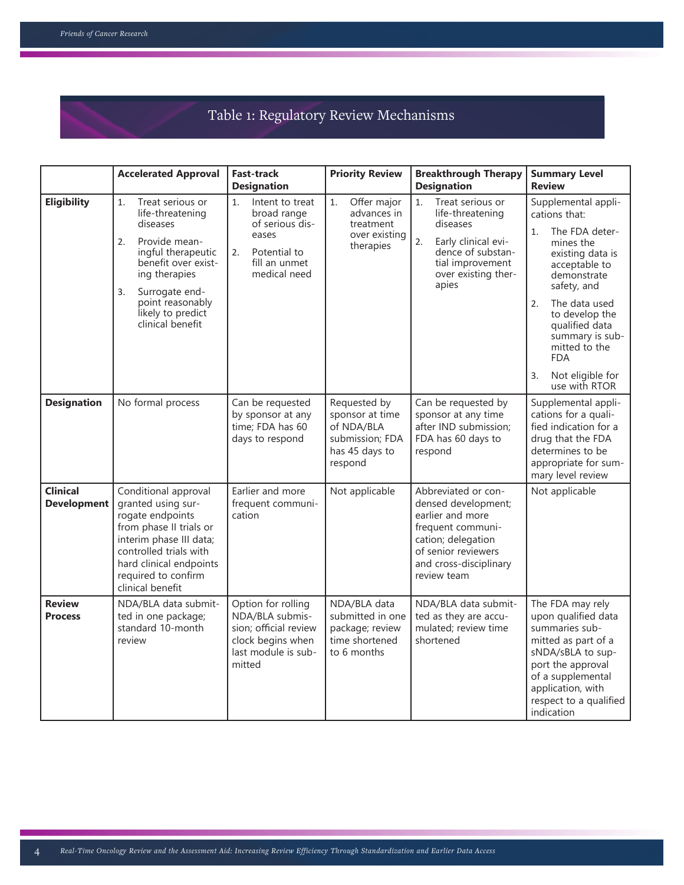# Table 1: Regulatory Review Mechanisms

|                                       | <b>Accelerated Approval</b>                                                                                                                                                                                                      | <b>Fast-track</b><br><b>Designation</b>                                                                                 | <b>Priority Review</b>                                                                        | <b>Breakthrough Therapy</b><br><b>Designation</b>                                                                                                                         | <b>Summary Level</b><br><b>Review</b>                                                                                                                                                                                                                                                                |
|---------------------------------------|----------------------------------------------------------------------------------------------------------------------------------------------------------------------------------------------------------------------------------|-------------------------------------------------------------------------------------------------------------------------|-----------------------------------------------------------------------------------------------|---------------------------------------------------------------------------------------------------------------------------------------------------------------------------|------------------------------------------------------------------------------------------------------------------------------------------------------------------------------------------------------------------------------------------------------------------------------------------------------|
| <b>Eligibility</b>                    | Treat serious or<br>1.<br>life-threatening<br>diseases<br>Provide mean-<br>2.<br>ingful therapeutic<br>benefit over exist-<br>ing therapies<br>Surrogate end-<br>3.<br>point reasonably<br>likely to predict<br>clinical benefit | Intent to treat<br>1.<br>broad range<br>of serious dis-<br>eases<br>Potential to<br>2.<br>fill an unmet<br>medical need | Offer major<br>1.<br>advances in<br>treatment<br>over existing<br>therapies                   | Treat serious or<br>1.<br>life-threatening<br>diseases<br>2.<br>Early clinical evi-<br>dence of substan-<br>tial improvement<br>over existing ther-<br>apies              | Supplemental appli-<br>cations that:<br>The FDA deter-<br>1.<br>mines the<br>existing data is<br>acceptable to<br>demonstrate<br>safety, and<br>The data used<br>2.<br>to develop the<br>qualified data<br>summary is sub-<br>mitted to the<br><b>FDA</b><br>Not eligible for<br>3.<br>use with RTOR |
| <b>Designation</b>                    | No formal process                                                                                                                                                                                                                | Can be requested<br>by sponsor at any<br>time; FDA has 60<br>days to respond                                            | Requested by<br>sponsor at time<br>of NDA/BLA<br>submission; FDA<br>has 45 days to<br>respond | Can be requested by<br>sponsor at any time<br>after IND submission;<br>FDA has 60 days to<br>respond                                                                      | Supplemental appli-<br>cations for a quali-<br>fied indication for a<br>drug that the FDA<br>determines to be<br>appropriate for sum-<br>mary level review                                                                                                                                           |
| <b>Clinical</b><br><b>Development</b> | Conditional approval<br>granted using sur-<br>rogate endpoints<br>from phase II trials or<br>interim phase III data;<br>controlled trials with<br>hard clinical endpoints<br>required to confirm<br>clinical benefit             | Earlier and more<br>frequent communi-<br>cation                                                                         | Not applicable                                                                                | Abbreviated or con-<br>densed development;<br>earlier and more<br>frequent communi-<br>cation; delegation<br>of senior reviewers<br>and cross-disciplinary<br>review team | Not applicable                                                                                                                                                                                                                                                                                       |
| <b>Review</b><br><b>Process</b>       | NDA/BLA data submit-<br>ted in one package;<br>standard 10-month<br>review                                                                                                                                                       | Option for rolling<br>NDA/BLA submis-<br>sion; official review<br>clock begins when<br>last module is sub-<br>mitted    | NDA/BLA data<br>submitted in one<br>package; review<br>time shortened<br>to 6 months          | NDA/BLA data submit-<br>ted as they are accu-<br>mulated; review time<br>shortened                                                                                        | The FDA may rely<br>upon qualified data<br>summaries sub-<br>mitted as part of a<br>sNDA/sBLA to sup-<br>port the approval<br>of a supplemental<br>application, with<br>respect to a qualified<br>indication                                                                                         |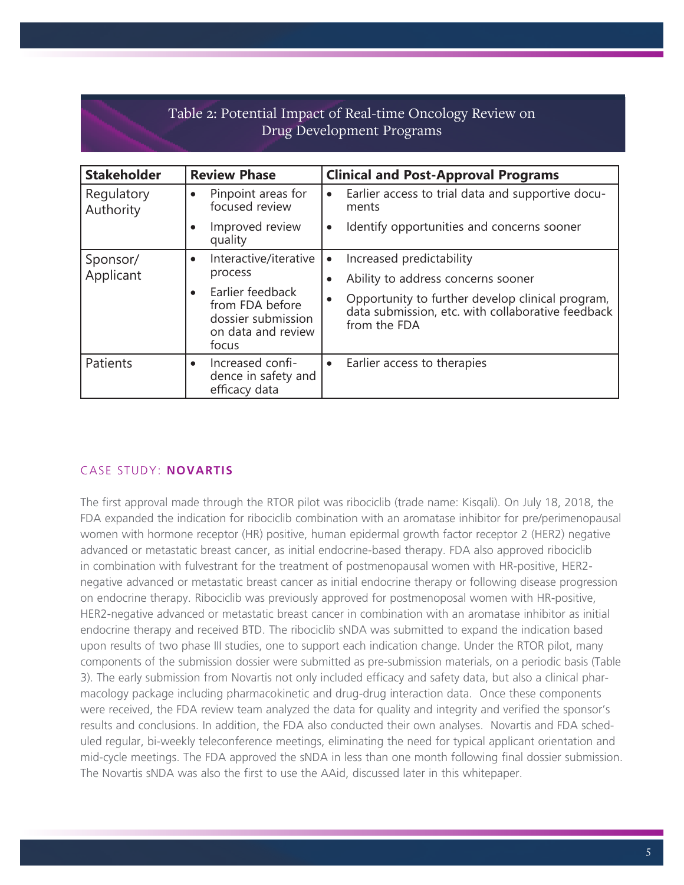# Table 2: Potential Impact of Real-time Oncology Review on Drug Development Programs

| <b>Stakeholder</b>      | <b>Review Phase</b>                                                                                                                       | <b>Clinical and Post-Approval Programs</b>                                                                                                                                                           |
|-------------------------|-------------------------------------------------------------------------------------------------------------------------------------------|------------------------------------------------------------------------------------------------------------------------------------------------------------------------------------------------------|
| Regulatory<br>Authority | Pinpoint areas for<br>$\bullet$<br>focused review                                                                                         | Earlier access to trial data and supportive docu-<br>$\bullet$<br>ments                                                                                                                              |
|                         | Improved review<br>$\bullet$<br>quality                                                                                                   | Identify opportunities and concerns sooner<br>$\bullet$                                                                                                                                              |
| Sponsor/<br>Applicant   | Interactive/iterative<br>$\bullet$<br>process<br>Earlier feedback<br>from FDA before<br>dossier submission<br>on data and review<br>focus | Increased predictability<br>$\bullet$<br>Ability to address concerns sooner<br>Opportunity to further develop clinical program,<br>data submission, etc. with collaborative feedback<br>from the FDA |
| Patients                | Increased confi-<br>$\bullet$<br>dence in safety and<br>efficacy data                                                                     | Earlier access to therapies<br>$\bullet$                                                                                                                                                             |

# CASE STUDY: **NOVARTIS**

The first approval made through the RTOR pilot was ribociclib (trade name: Kisqali). On July 18, 2018, the FDA expanded the indication for ribociclib combination with an aromatase inhibitor for pre/perimenopausal women with hormone receptor (HR) positive, human epidermal growth factor receptor 2 (HER2) negative advanced or metastatic breast cancer, as initial endocrine-based therapy. FDA also approved ribociclib in combination with fulvestrant for the treatment of postmenopausal women with HR-positive, HER2 negative advanced or metastatic breast cancer as initial endocrine therapy or following disease progression on endocrine therapy. Ribociclib was previously approved for postmenoposal women with HR-positive, HER2-negative advanced or metastatic breast cancer in combination with an aromatase inhibitor as initial endocrine therapy and received BTD. The ribociclib sNDA was submitted to expand the indication based upon results of two phase III studies, one to support each indication change. Under the RTOR pilot, many components of the submission dossier were submitted as pre-submission materials, on a periodic basis (Table 3). The early submission from Novartis not only included efficacy and safety data, but also a clinical pharmacology package including pharmacokinetic and drug-drug interaction data. Once these components were received, the FDA review team analyzed the data for quality and integrity and verified the sponsor's results and conclusions. In addition, the FDA also conducted their own analyses. Novartis and FDA scheduled regular, bi-weekly teleconference meetings, eliminating the need for typical applicant orientation and mid-cycle meetings. The FDA approved the sNDA in less than one month following final dossier submission. The Novartis sNDA was also the first to use the AAid, discussed later in this whitepaper.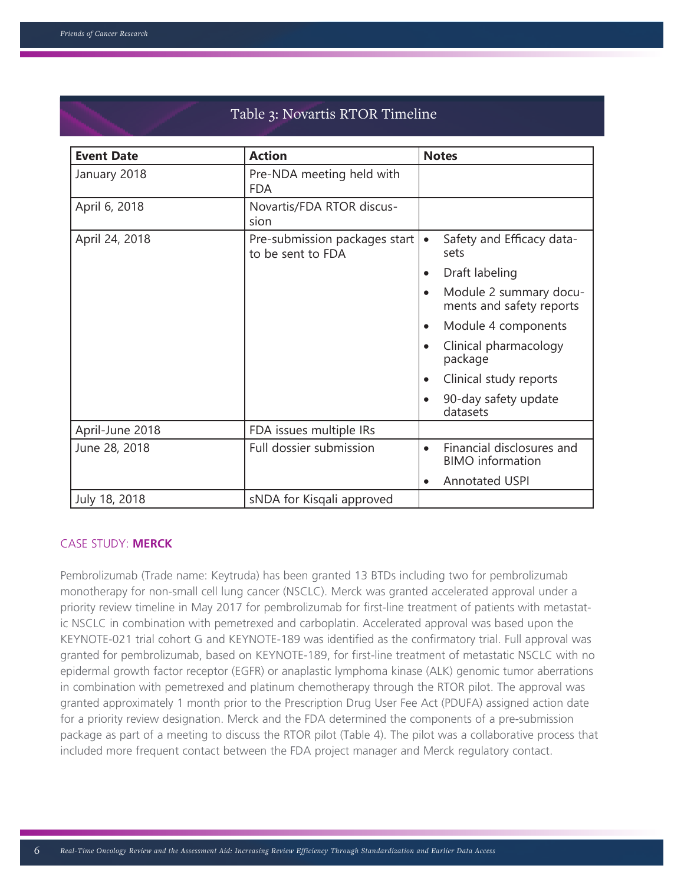| <b>Event Date</b> | <b>Action</b>                                      | <b>Notes</b>                                                      |
|-------------------|----------------------------------------------------|-------------------------------------------------------------------|
| January 2018      | Pre-NDA meeting held with<br><b>FDA</b>            |                                                                   |
| April 6, 2018     | Novartis/FDA RTOR discus-<br>sion                  |                                                                   |
| April 24, 2018    | Pre-submission packages start<br>to be sent to FDA | Safety and Efficacy data-<br>$\bullet$<br>sets                    |
|                   |                                                    | Draft labeling                                                    |
|                   |                                                    | Module 2 summary docu-<br>ments and safety reports                |
|                   |                                                    | Module 4 components                                               |
|                   |                                                    | Clinical pharmacology<br>package                                  |
|                   |                                                    | Clinical study reports                                            |
|                   |                                                    | 90-day safety update<br>datasets                                  |
| April-June 2018   | FDA issues multiple IRs                            |                                                                   |
| June 28, 2018     | Full dossier submission                            | Financial disclosures and<br>$\bullet$<br><b>BIMO</b> information |
|                   |                                                    | <b>Annotated USPI</b><br>$\bullet$                                |
| July 18, 2018     | sNDA for Kisqali approved                          |                                                                   |

# Table 3: Novartis RTOR Timeline

# CASE STUDY: **MERCK**

Pembrolizumab (Trade name: Keytruda) has been granted 13 BTDs including two for pembrolizumab monotherapy for non-small cell lung cancer (NSCLC). Merck was granted accelerated approval under a priority review timeline in May 2017 for pembrolizumab for first-line treatment of patients with metastatic NSCLC in combination with pemetrexed and carboplatin. Accelerated approval was based upon the KEYNOTE-021 trial cohort G and KEYNOTE-189 was identified as the confirmatory trial. Full approval was granted for pembrolizumab, based on KEYNOTE-189, for first-line treatment of metastatic NSCLC with no epidermal growth factor receptor (EGFR) or anaplastic lymphoma kinase (ALK) genomic tumor aberrations in combination with pemetrexed and platinum chemotherapy through the RTOR pilot. The approval was granted approximately 1 month prior to the Prescription Drug User Fee Act (PDUFA) assigned action date for a priority review designation. Merck and the FDA determined the components of a pre-submission package as part of a meeting to discuss the RTOR pilot (Table 4). The pilot was a collaborative process that included more frequent contact between the FDA project manager and Merck regulatory contact.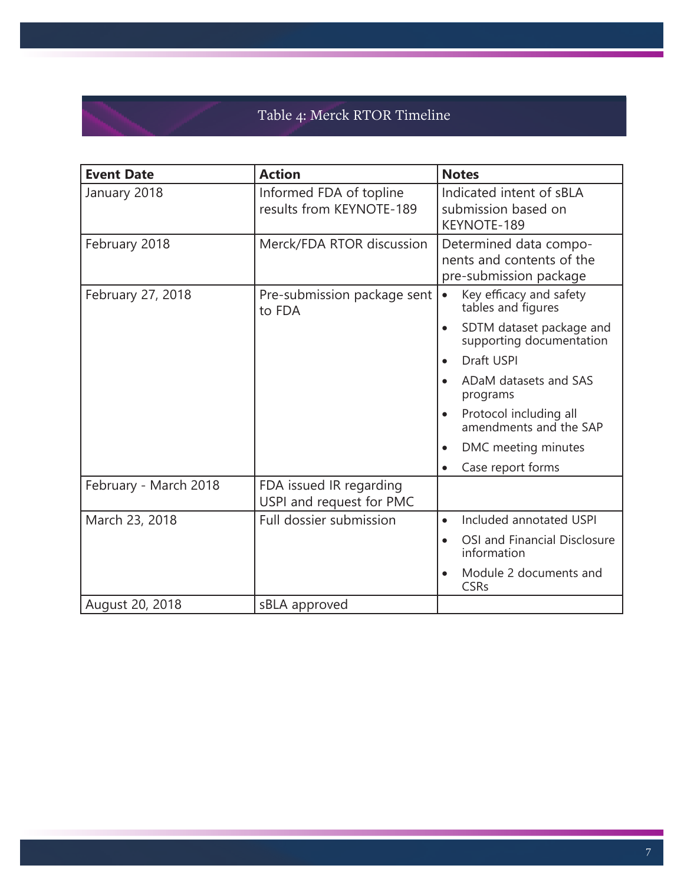# Table 4: Merck RTOR Timeline

| <b>Event Date</b>     | <b>Action</b>                                       | <b>Notes</b>                                                                  |  |
|-----------------------|-----------------------------------------------------|-------------------------------------------------------------------------------|--|
| January 2018          | Informed FDA of topline<br>results from KEYNOTE-189 | Indicated intent of sBLA<br>submission based on<br>KEYNOTE-189                |  |
| February 2018         | Merck/FDA RTOR discussion                           | Determined data compo-<br>nents and contents of the<br>pre-submission package |  |
| February 27, 2018     | Pre-submission package sent<br>to FDA               | Key efficacy and safety<br>$\bullet$<br>tables and figures                    |  |
|                       |                                                     | SDTM dataset package and<br>$\bullet$<br>supporting documentation             |  |
|                       |                                                     | Draft USPI                                                                    |  |
|                       |                                                     | ADaM datasets and SAS<br>programs                                             |  |
|                       |                                                     | Protocol including all<br>$\bullet$<br>amendments and the SAP                 |  |
|                       |                                                     | DMC meeting minutes                                                           |  |
|                       |                                                     | Case report forms<br>$\bullet$                                                |  |
| February - March 2018 | FDA issued IR regarding<br>USPI and request for PMC |                                                                               |  |
| March 23, 2018        | Full dossier submission                             | Included annotated USPI<br>$\bullet$                                          |  |
|                       |                                                     | OSI and Financial Disclosure<br>$\bullet$<br>information                      |  |
|                       |                                                     | Module 2 documents and<br><b>CSRs</b>                                         |  |
| August 20, 2018       | sBLA approved                                       |                                                                               |  |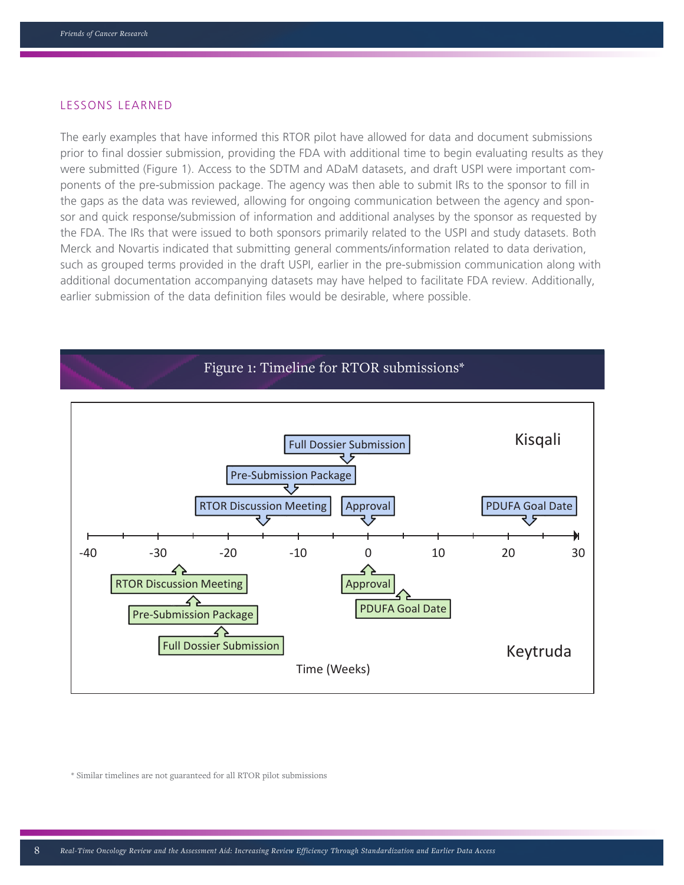#### LESSONS LEARNED

The early examples that have informed this RTOR pilot have allowed for data and document submissions prior to final dossier submission, providing the FDA with additional time to begin evaluating results as they were submitted (Figure 1). Access to the SDTM and ADaM datasets, and draft USPI were important components of the pre-submission package. The agency was then able to submit IRs to the sponsor to fill in the gaps as the data was reviewed, allowing for ongoing communication between the agency and sponsor and quick response/submission of information and additional analyses by the sponsor as requested by the FDA. The IRs that were issued to both sponsors primarily related to the USPI and study datasets. Both Merck and Novartis indicated that submitting general comments/information related to data derivation, such as grouped terms provided in the draft USPI, earlier in the pre-submission communication along with additional documentation accompanying datasets may have helped to facilitate FDA review. Additionally, earlier submission of the data definition files would be desirable, where possible.



\* Similar timelines are not guaranteed for all RTOR pilot submissions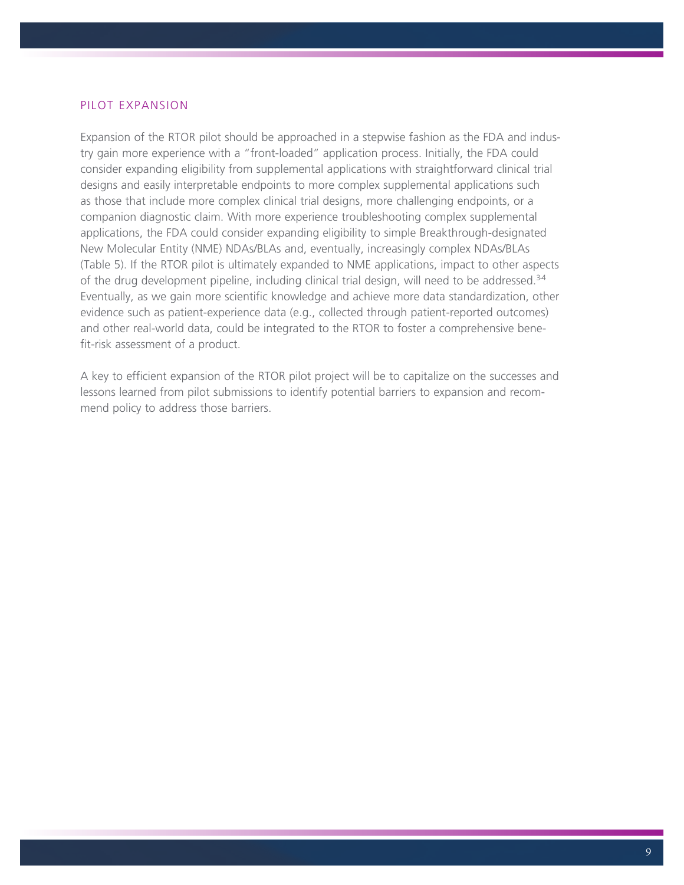# PILOT EXPANSION

Expansion of the RTOR pilot should be approached in a stepwise fashion as the FDA and industry gain more experience with a "front-loaded" application process. Initially, the FDA could consider expanding eligibility from supplemental applications with straightforward clinical trial designs and easily interpretable endpoints to more complex supplemental applications such as those that include more complex clinical trial designs, more challenging endpoints, or a companion diagnostic claim. With more experience troubleshooting complex supplemental applications, the FDA could consider expanding eligibility to simple Breakthrough-designated New Molecular Entity (NME) NDAs/BLAs and, eventually, increasingly complex NDAs/BLAs (Table 5). If the RTOR pilot is ultimately expanded to NME applications, impact to other aspects of the drug development pipeline, including clinical trial design, will need to be addressed.<sup>34</sup> Eventually, as we gain more scientific knowledge and achieve more data standardization, other evidence such as patient-experience data (e.g., collected through patient-reported outcomes) and other real-world data, could be integrated to the RTOR to foster a comprehensive benefit-risk assessment of a product.

A key to efficient expansion of the RTOR pilot project will be to capitalize on the successes and lessons learned from pilot submissions to identify potential barriers to expansion and recommend policy to address those barriers.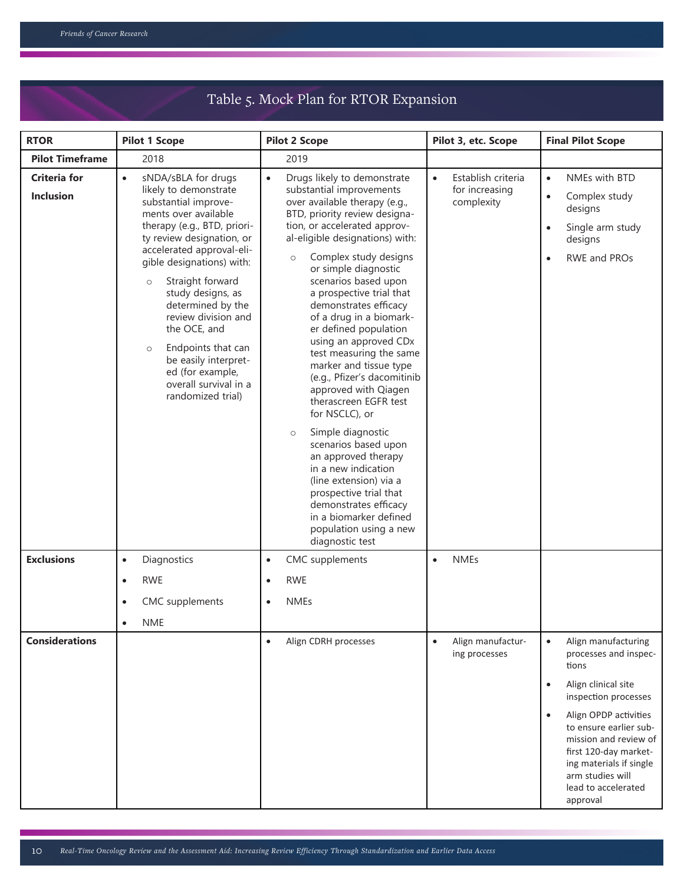# Table 5. Mock Plan for RTOR Expansion

| <b>RTOR</b>                             | <b>Pilot 1 Scope</b>                                                                                                                                                                                                                                                                                                                                                                                                                                                       | <b>Pilot 2 Scope</b>                                                                                                                                                                                                                                                                                                                                                                                                                                                                                                                                                                                                                                                                                                                                                                                                                             | Pilot 3, etc. Scope                                             | <b>Final Pilot Scope</b>                                                                                                                                                                                                                                                                                                           |
|-----------------------------------------|----------------------------------------------------------------------------------------------------------------------------------------------------------------------------------------------------------------------------------------------------------------------------------------------------------------------------------------------------------------------------------------------------------------------------------------------------------------------------|--------------------------------------------------------------------------------------------------------------------------------------------------------------------------------------------------------------------------------------------------------------------------------------------------------------------------------------------------------------------------------------------------------------------------------------------------------------------------------------------------------------------------------------------------------------------------------------------------------------------------------------------------------------------------------------------------------------------------------------------------------------------------------------------------------------------------------------------------|-----------------------------------------------------------------|------------------------------------------------------------------------------------------------------------------------------------------------------------------------------------------------------------------------------------------------------------------------------------------------------------------------------------|
| <b>Pilot Timeframe</b>                  | 2018                                                                                                                                                                                                                                                                                                                                                                                                                                                                       | 2019                                                                                                                                                                                                                                                                                                                                                                                                                                                                                                                                                                                                                                                                                                                                                                                                                                             |                                                                 |                                                                                                                                                                                                                                                                                                                                    |
| <b>Criteria for</b><br><b>Inclusion</b> | sNDA/sBLA for drugs<br>$\bullet$<br>likely to demonstrate<br>substantial improve-<br>ments over available<br>therapy (e.g., BTD, priori-<br>ty review designation, or<br>accelerated approval-eli-<br>gible designations) with:<br>Straight forward<br>$\circ$<br>study designs, as<br>determined by the<br>review division and<br>the OCE, and<br>Endpoints that can<br>$\circ$<br>be easily interpret-<br>ed (for example,<br>overall survival in a<br>randomized trial) | Drugs likely to demonstrate<br>$\bullet$<br>substantial improvements<br>over available therapy (e.g.,<br>BTD, priority review designa-<br>tion, or accelerated approv-<br>al-eligible designations) with:<br>Complex study designs<br>$\circ$<br>or simple diagnostic<br>scenarios based upon<br>a prospective trial that<br>demonstrates efficacy<br>of a drug in a biomark-<br>er defined population<br>using an approved CDx<br>test measuring the same<br>marker and tissue type<br>(e.g., Pfizer's dacomitinib<br>approved with Qiagen<br>therascreen EGFR test<br>for NSCLC), or<br>Simple diagnostic<br>$\circ$<br>scenarios based upon<br>an approved therapy<br>in a new indication<br>(line extension) via a<br>prospective trial that<br>demonstrates efficacy<br>in a biomarker defined<br>population using a new<br>diagnostic test | Establish criteria<br>$\bullet$<br>for increasing<br>complexity | NMEs with BTD<br>$\bullet$<br>Complex study<br>$\bullet$<br>designs<br>Single arm study<br>$\bullet$<br>designs<br>RWE and PROs<br>$\bullet$                                                                                                                                                                                       |
| <b>Exclusions</b>                       | Diagnostics<br>$\bullet$                                                                                                                                                                                                                                                                                                                                                                                                                                                   | <b>CMC</b> supplements<br>$\bullet$                                                                                                                                                                                                                                                                                                                                                                                                                                                                                                                                                                                                                                                                                                                                                                                                              | <b>NMEs</b><br>$\bullet$                                        |                                                                                                                                                                                                                                                                                                                                    |
|                                         | <b>RWE</b><br>$\bullet$                                                                                                                                                                                                                                                                                                                                                                                                                                                    | <b>RWE</b><br>$\bullet$                                                                                                                                                                                                                                                                                                                                                                                                                                                                                                                                                                                                                                                                                                                                                                                                                          |                                                                 |                                                                                                                                                                                                                                                                                                                                    |
|                                         | CMC supplements                                                                                                                                                                                                                                                                                                                                                                                                                                                            | <b>NMEs</b><br>$\bullet$                                                                                                                                                                                                                                                                                                                                                                                                                                                                                                                                                                                                                                                                                                                                                                                                                         |                                                                 |                                                                                                                                                                                                                                                                                                                                    |
|                                         | <b>NME</b><br>$\bullet$                                                                                                                                                                                                                                                                                                                                                                                                                                                    |                                                                                                                                                                                                                                                                                                                                                                                                                                                                                                                                                                                                                                                                                                                                                                                                                                                  |                                                                 |                                                                                                                                                                                                                                                                                                                                    |
| <b>Considerations</b>                   |                                                                                                                                                                                                                                                                                                                                                                                                                                                                            | $\bullet$<br>Align CDRH processes                                                                                                                                                                                                                                                                                                                                                                                                                                                                                                                                                                                                                                                                                                                                                                                                                | Align manufactur-<br>$\bullet$<br>ing processes                 | Align manufacturing<br>$\bullet$<br>processes and inspec-<br>tions<br>Align clinical site<br>$\bullet$<br>inspection processes<br>Align OPDP activities<br>$\bullet$<br>to ensure earlier sub-<br>mission and review of<br>first 120-day market-<br>ing materials if single<br>arm studies will<br>lead to accelerated<br>approval |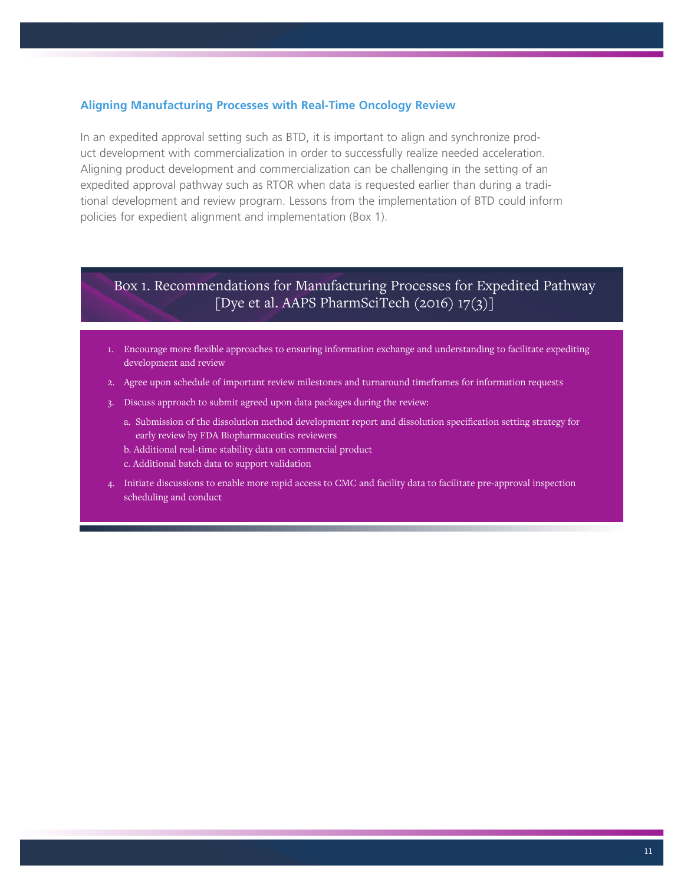## **Aligning Manufacturing Processes with Real-Time Oncology Review**

In an expedited approval setting such as BTD, it is important to align and synchronize product development with commercialization in order to successfully realize needed acceleration. Aligning product development and commercialization can be challenging in the setting of an expedited approval pathway such as RTOR when data is requested earlier than during a traditional development and review program. Lessons from the implementation of BTD could inform policies for expedient alignment and implementation (Box 1).

# Box 1. Recommendations for Manufacturing Processes for Expedited Pathway [Dye et al. AAPS PharmSciTech (2016) 17(3)]

- 1. Encourage more flexible approaches to ensuring information exchange and understanding to facilitate expediting development and review
- 2. Agree upon schedule of important review milestones and turnaround timeframes for information requests
- 3. Discuss approach to submit agreed upon data packages during the review:
	- a. Submission of the dissolution method development report and dissolution specification setting strategy for early review by FDA Biopharmaceutics reviewers
	- b. Additional real-time stability data on commercial product
	- c. Additional batch data to support validation
- 4. Initiate discussions to enable more rapid access to CMC and facility data to facilitate pre-approval inspection scheduling and conduct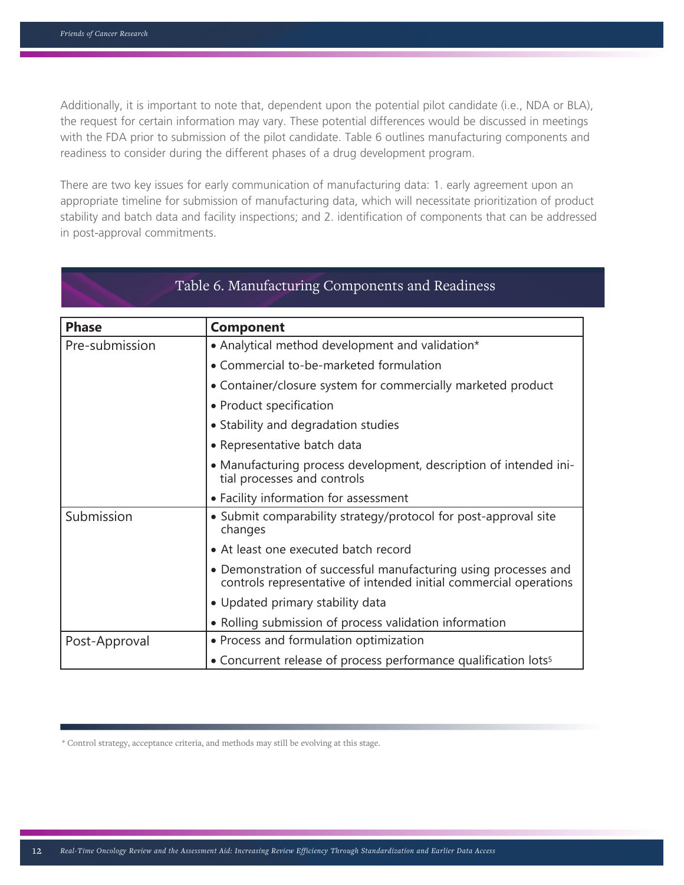Additionally, it is important to note that, dependent upon the potential pilot candidate (i.e., NDA or BLA), the request for certain information may vary. These potential differences would be discussed in meetings with the FDA prior to submission of the pilot candidate. Table 6 outlines manufacturing components and readiness to consider during the different phases of a drug development program.

There are two key issues for early communication of manufacturing data: 1. early agreement upon an appropriate timeline for submission of manufacturing data, which will necessitate prioritization of product stability and batch data and facility inspections; and 2. identification of components that can be addressed in post-approval commitments.

|                | Table 6. Manufacturing Components and Readiness                                                                                      |
|----------------|--------------------------------------------------------------------------------------------------------------------------------------|
| <b>Phase</b>   | <b>Component</b>                                                                                                                     |
| Pre-submission | • Analytical method development and validation*                                                                                      |
|                | • Commercial to-be-marketed formulation                                                                                              |
|                | • Container/closure system for commercially marketed product                                                                         |
|                | • Product specification                                                                                                              |
|                | • Stability and degradation studies                                                                                                  |
|                | • Representative batch data                                                                                                          |
|                | • Manufacturing process development, description of intended ini-<br>tial processes and controls                                     |
|                | • Facility information for assessment                                                                                                |
| Submission     | • Submit comparability strategy/protocol for post-approval site<br>changes                                                           |
|                | • At least one executed batch record                                                                                                 |
|                | • Demonstration of successful manufacturing using processes and<br>controls representative of intended initial commercial operations |
|                | • Updated primary stability data                                                                                                     |
|                | • Rolling submission of process validation information                                                                               |
| Post-Approval  | • Process and formulation optimization                                                                                               |
|                | • Concurrent release of process performance qualification lots <sup>5</sup>                                                          |

\* Control strategy, acceptance criteria, and methods may still be evolving at this stage.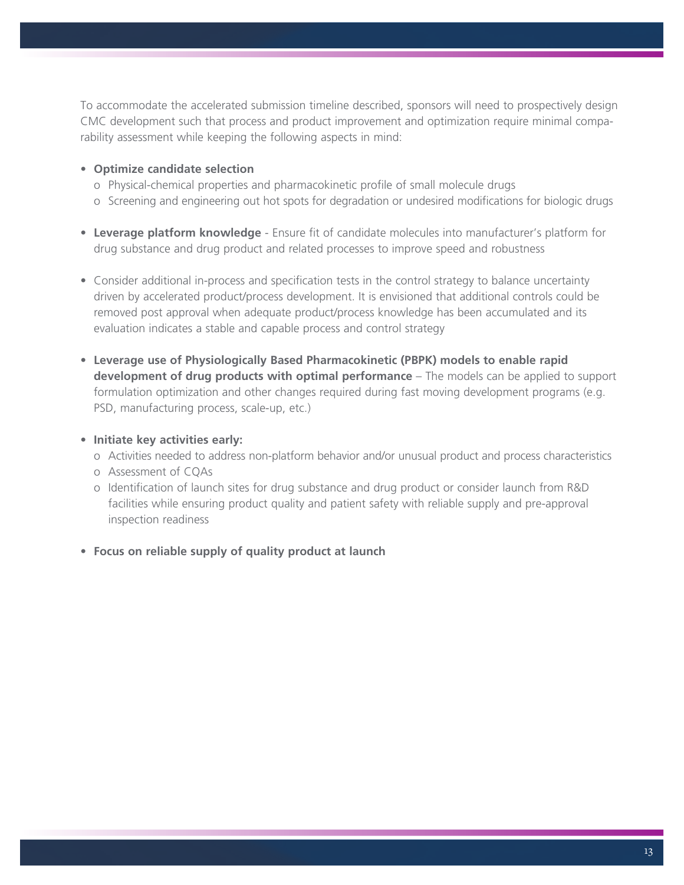To accommodate the accelerated submission timeline described, sponsors will need to prospectively design CMC development such that process and product improvement and optimization require minimal comparability assessment while keeping the following aspects in mind:

# **• Optimize candidate selection**

- o Physical-chemical properties and pharmacokinetic profile of small molecule drugs
- o Screening and engineering out hot spots for degradation or undesired modifications for biologic drugs
- **• Leverage platform knowledge** Ensure fit of candidate molecules into manufacturer's platform for drug substance and drug product and related processes to improve speed and robustness
- Consider additional in-process and specification tests in the control strategy to balance uncertainty driven by accelerated product/process development. It is envisioned that additional controls could be removed post approval when adequate product/process knowledge has been accumulated and its evaluation indicates a stable and capable process and control strategy
- **• Leverage use of Physiologically Based Pharmacokinetic (PBPK) models to enable rapid development of drug products with optimal performance** – The models can be applied to support formulation optimization and other changes required during fast moving development programs (e.g. PSD, manufacturing process, scale-up, etc.)
- **• Initiate key activities early:**
	- o Activities needed to address non-platform behavior and/or unusual product and process characteristics
	- o Assessment of CQAs
	- o Identification of launch sites for drug substance and drug product or consider launch from R&D facilities while ensuring product quality and patient safety with reliable supply and pre-approval inspection readiness
- **• Focus on reliable supply of quality product at launch**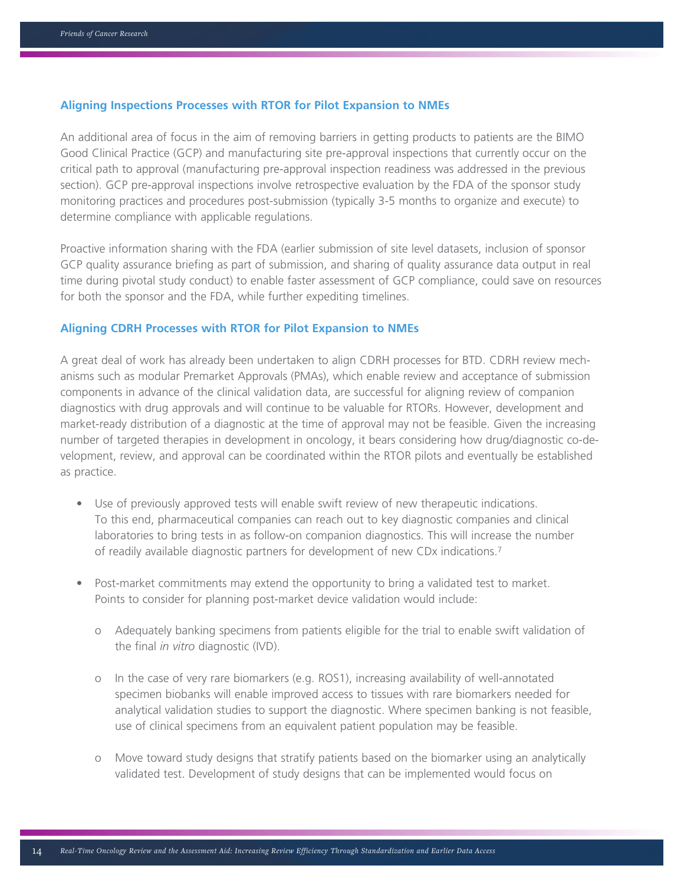### **Aligning Inspections Processes with RTOR for Pilot Expansion to NMEs**

An additional area of focus in the aim of removing barriers in getting products to patients are the BIMO Good Clinical Practice (GCP) and manufacturing site pre-approval inspections that currently occur on the critical path to approval (manufacturing pre-approval inspection readiness was addressed in the previous section). GCP pre-approval inspections involve retrospective evaluation by the FDA of the sponsor study monitoring practices and procedures post-submission (typically 3-5 months to organize and execute) to determine compliance with applicable regulations.

Proactive information sharing with the FDA (earlier submission of site level datasets, inclusion of sponsor GCP quality assurance briefing as part of submission, and sharing of quality assurance data output in real time during pivotal study conduct) to enable faster assessment of GCP compliance, could save on resources for both the sponsor and the FDA, while further expediting timelines.

#### **Aligning CDRH Processes with RTOR for Pilot Expansion to NMEs**

A great deal of work has already been undertaken to align CDRH processes for BTD. CDRH review mechanisms such as modular Premarket Approvals (PMAs), which enable review and acceptance of submission components in advance of the clinical validation data, are successful for aligning review of companion diagnostics with drug approvals and will continue to be valuable for RTORs. However, development and market-ready distribution of a diagnostic at the time of approval may not be feasible. Given the increasing number of targeted therapies in development in oncology, it bears considering how drug/diagnostic co-development, review, and approval can be coordinated within the RTOR pilots and eventually be established as practice.

- Use of previously approved tests will enable swift review of new therapeutic indications. To this end, pharmaceutical companies can reach out to key diagnostic companies and clinical laboratories to bring tests in as follow-on companion diagnostics. This will increase the number of readily available diagnostic partners for development of new CDx indications.7
- Post-market commitments may extend the opportunity to bring a validated test to market. Points to consider for planning post-market device validation would include:
	- o Adequately banking specimens from patients eligible for the trial to enable swift validation of the final *in vitro* diagnostic (IVD).
	- o In the case of very rare biomarkers (e.g. ROS1), increasing availability of well-annotated specimen biobanks will enable improved access to tissues with rare biomarkers needed for analytical validation studies to support the diagnostic. Where specimen banking is not feasible, use of clinical specimens from an equivalent patient population may be feasible.
	- o Move toward study designs that stratify patients based on the biomarker using an analytically validated test. Development of study designs that can be implemented would focus on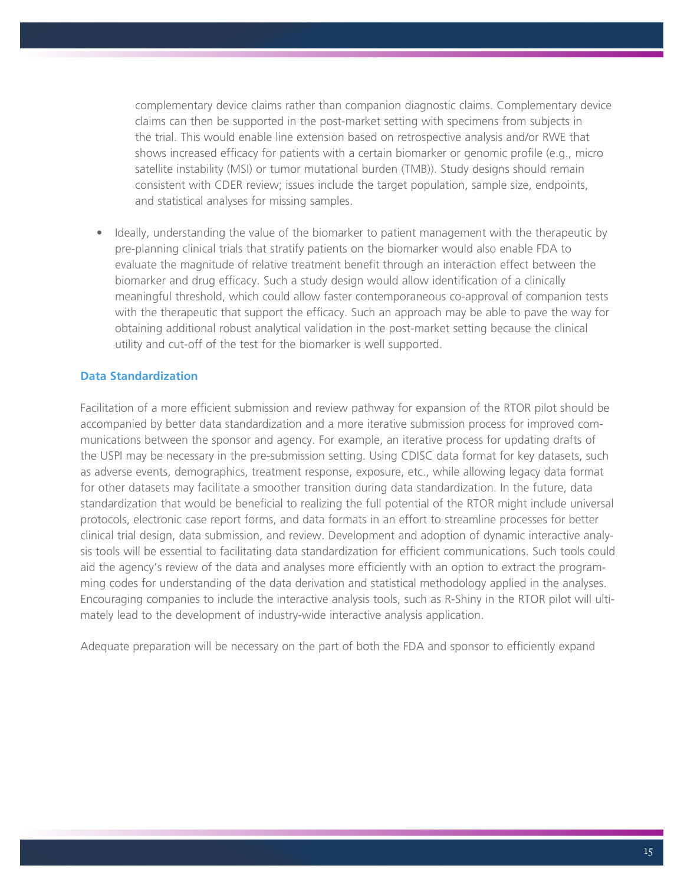complementary device claims rather than companion diagnostic claims. Complementary device claims can then be supported in the post-market setting with specimens from subjects in the trial. This would enable line extension based on retrospective analysis and/or RWE that shows increased efficacy for patients with a certain biomarker or genomic profile (e.g., micro satellite instability (MSI) or tumor mutational burden (TMB)). Study designs should remain consistent with CDER review; issues include the target population, sample size, endpoints, and statistical analyses for missing samples.

• Ideally, understanding the value of the biomarker to patient management with the therapeutic by pre-planning clinical trials that stratify patients on the biomarker would also enable FDA to evaluate the magnitude of relative treatment benefit through an interaction effect between the biomarker and drug efficacy. Such a study design would allow identification of a clinically meaningful threshold, which could allow faster contemporaneous co-approval of companion tests with the therapeutic that support the efficacy. Such an approach may be able to pave the way for obtaining additional robust analytical validation in the post-market setting because the clinical utility and cut-off of the test for the biomarker is well supported.

# **Data Standardization**

Facilitation of a more efficient submission and review pathway for expansion of the RTOR pilot should be accompanied by better data standardization and a more iterative submission process for improved communications between the sponsor and agency. For example, an iterative process for updating drafts of the USPI may be necessary in the pre-submission setting. Using CDISC data format for key datasets, such as adverse events, demographics, treatment response, exposure, etc., while allowing legacy data format for other datasets may facilitate a smoother transition during data standardization. In the future, data standardization that would be beneficial to realizing the full potential of the RTOR might include universal protocols, electronic case report forms, and data formats in an effort to streamline processes for better clinical trial design, data submission, and review. Development and adoption of dynamic interactive analysis tools will be essential to facilitating data standardization for efficient communications. Such tools could aid the agency's review of the data and analyses more efficiently with an option to extract the programming codes for understanding of the data derivation and statistical methodology applied in the analyses. Encouraging companies to include the interactive analysis tools, such as R-Shiny in the RTOR pilot will ultimately lead to the development of industry-wide interactive analysis application.

Adequate preparation will be necessary on the part of both the FDA and sponsor to efficiently expand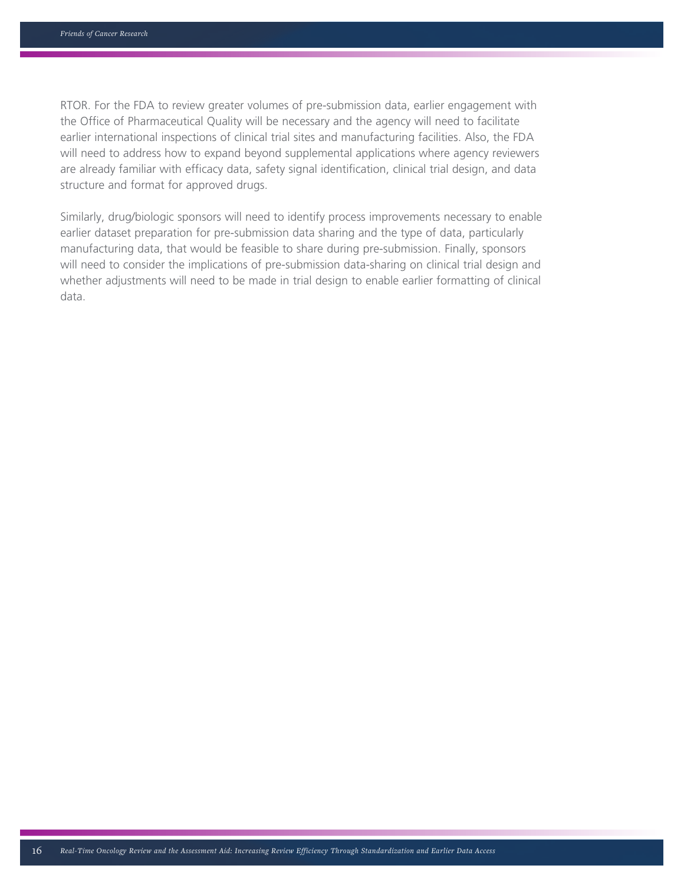RTOR. For the FDA to review greater volumes of pre-submission data, earlier engagement with the Office of Pharmaceutical Quality will be necessary and the agency will need to facilitate earlier international inspections of clinical trial sites and manufacturing facilities. Also, the FDA will need to address how to expand beyond supplemental applications where agency reviewers are already familiar with efficacy data, safety signal identification, clinical trial design, and data structure and format for approved drugs.

Similarly, drug/biologic sponsors will need to identify process improvements necessary to enable earlier dataset preparation for pre-submission data sharing and the type of data, particularly manufacturing data, that would be feasible to share during pre-submission. Finally, sponsors will need to consider the implications of pre-submission data-sharing on clinical trial design and whether adjustments will need to be made in trial design to enable earlier formatting of clinical data.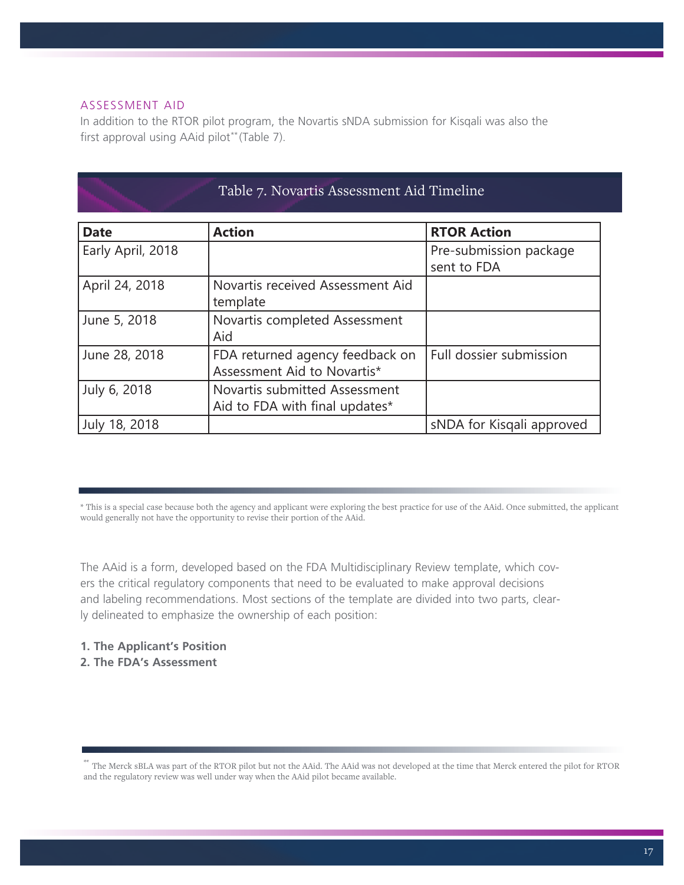## ASSESSMENT AID

In addition to the RTOR pilot program, the Novartis sNDA submission for Kisqali was also the first approval using AAid pilot\*\* (Table 7).

| Table 7. Novartis Assessment Aid Timeline |                                                                 |                                       |  |
|-------------------------------------------|-----------------------------------------------------------------|---------------------------------------|--|
| <b>Date</b>                               | <b>Action</b>                                                   | <b>RTOR Action</b>                    |  |
| Early April, 2018                         |                                                                 | Pre-submission package<br>sent to FDA |  |
| April 24, 2018                            | Novartis received Assessment Aid<br>template                    |                                       |  |
| June 5, 2018                              | Novartis completed Assessment<br>Aid                            |                                       |  |
| June 28, 2018                             | FDA returned agency feedback on<br>Assessment Aid to Novartis*  | Full dossier submission               |  |
| July 6, 2018                              | Novartis submitted Assessment<br>Aid to FDA with final updates* |                                       |  |
| July 18, 2018                             |                                                                 | sNDA for Kisgali approved             |  |

\* This is a special case because both the agency and applicant were exploring the best practice for use of the AAid. Once submitted, the applicant would generally not have the opportunity to revise their portion of the AAid.

The AAid is a form, developed based on the FDA Multidisciplinary Review template, which covers the critical regulatory components that need to be evaluated to make approval decisions and labeling recommendations. Most sections of the template are divided into two parts, clearly delineated to emphasize the ownership of each position:

- **1. The Applicant's Position**
- **2. The FDA's Assessment**

<sup>\*\*</sup> The Merck sBLA was part of the RTOR pilot but not the AAid. The AAid was not developed at the time that Merck entered the pilot for RTOR and the regulatory review was well under way when the AAid pilot became available.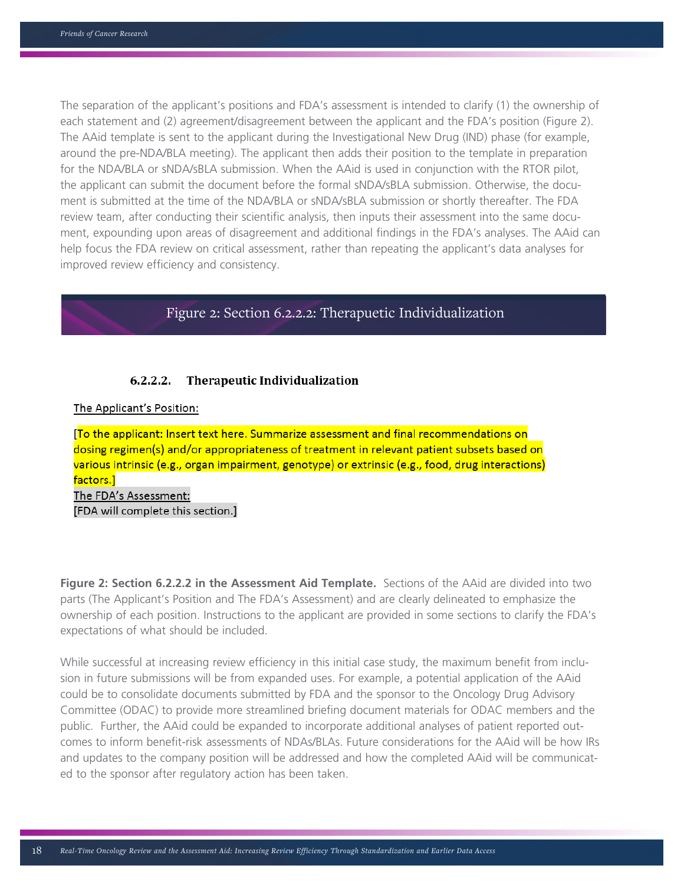The separation of the applicant's positions and FDA's assessment is intended to clarify (1) the ownership of each statement and (2) agreement/disagreement between the applicant and the FDA's position (Figure 2). The AAid template is sent to the applicant during the Investigational New Drug (IND) phase (for example, around the pre-NDA/BLA meeting). The applicant then adds their position to the template in preparation for the NDA/BLA or sNDA/sBLA submission. When the AAid is used in conjunction with the RTOR pilot, the applicant can submit the document before the formal sNDA/sBLA submission. Otherwise, the document is submitted at the time of the NDA/BLA or sNDA/sBLA submission or shortly thereafter. The FDA review team, after conducting their scientific analysis, then inputs their assessment into the same document, expounding upon areas of disagreement and additional findings in the FDA's analyses. The AAid can help focus the FDA review on critical assessment, rather than repeating the applicant's data analyses for improved review efficiency and consistency.

# Figure 2: Section 6.2.2.2: Therapuetic Individualization

#### $6.2.2.2.$ Therapeutic Individualization

### The Applicant's Position:

[To the applicant: Insert text here. Summarize assessment and final recommendations on dosing regimen(s) and/or appropriateness of treatment in relevant patient subsets based on various intrinsic (e.g., organ impairment, genotype) or extrinsic (e.g., food, drug interactions) factors.] The FDA's Assessment: [FDA will complete this section.]

**Figure 2: Section 6.2.2.2 in the Assessment Aid Template.** Sections of the AAid are divided into two parts (The Applicant's Position and The FDA's Assessment) and are clearly delineated to emphasize the ownership of each position. Instructions to the applicant are provided in some sections to clarify the FDA's expectations of what should be included.

While successful at increasing review efficiency in this initial case study, the maximum benefit from inclusion in future submissions will be from expanded uses. For example, a potential application of the AAid could be to consolidate documents submitted by FDA and the sponsor to the Oncology Drug Advisory Committee (ODAC) to provide more streamlined briefing document materials for ODAC members and the public. Further, the AAid could be expanded to incorporate additional analyses of patient reported outcomes to inform benefit-risk assessments of NDAs/BLAs. Future considerations for the AAid will be how IRs and updates to the company position will be addressed and how the completed AAid will be communicated to the sponsor after regulatory action has been taken.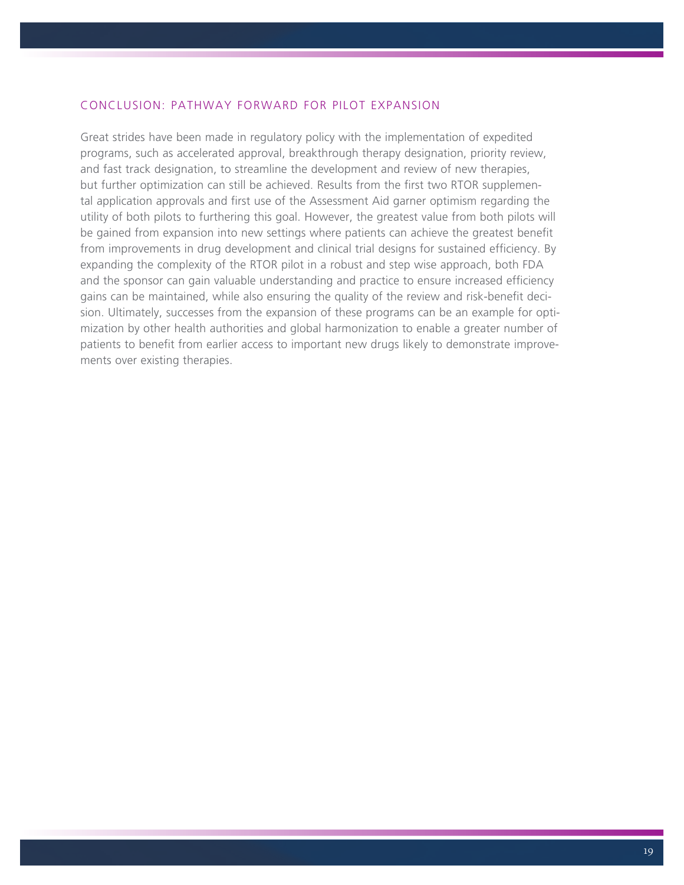# CONCLUSION: PATHWAY FORWARD FOR PILOT EXPANSION

Great strides have been made in regulatory policy with the implementation of expedited programs, such as accelerated approval, breakthrough therapy designation, priority review, and fast track designation, to streamline the development and review of new therapies, but further optimization can still be achieved. Results from the first two RTOR supplemental application approvals and first use of the Assessment Aid garner optimism regarding the utility of both pilots to furthering this goal. However, the greatest value from both pilots will be gained from expansion into new settings where patients can achieve the greatest benefit from improvements in drug development and clinical trial designs for sustained efficiency. By expanding the complexity of the RTOR pilot in a robust and step wise approach, both FDA and the sponsor can gain valuable understanding and practice to ensure increased efficiency gains can be maintained, while also ensuring the quality of the review and risk-benefit decision. Ultimately, successes from the expansion of these programs can be an example for optimization by other health authorities and global harmonization to enable a greater number of patients to benefit from earlier access to important new drugs likely to demonstrate improvements over existing therapies.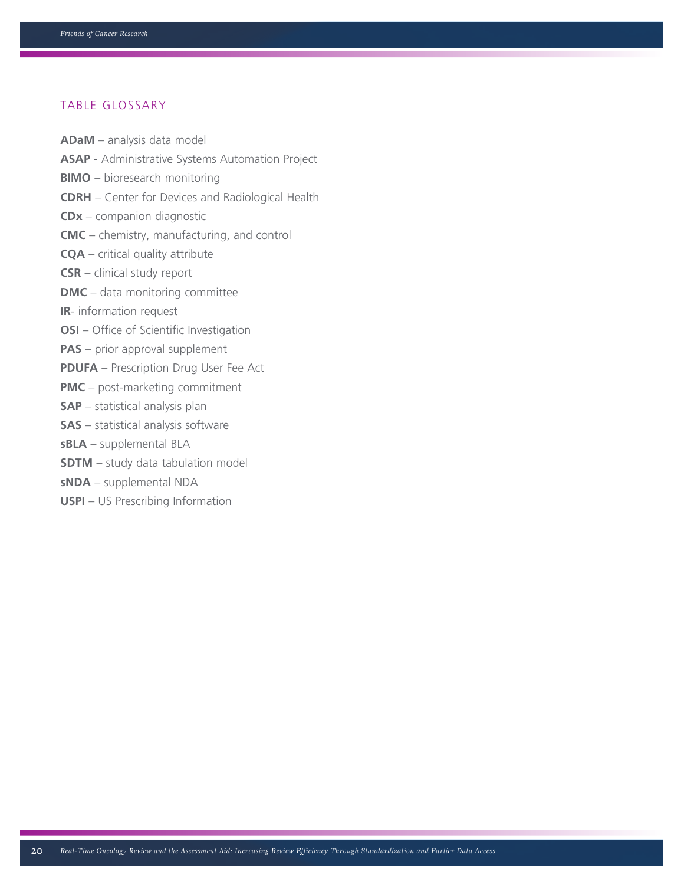# TABLE GLOSSARY

- **ADaM** analysis data model
- **ASAP** Administrative Systems Automation Project
- **BIMO** bioresearch monitoring
- **CDRH** Center for Devices and Radiological Health
- **CDx** companion diagnostic
- **CMC** chemistry, manufacturing, and control
- **CQA** critical quality attribute
- **CSR** clinical study report
- **DMC** data monitoring committee
- **IR** information request
- **OSI** Office of Scientific Investigation
- **PAS** prior approval supplement
- **PDUFA** Prescription Drug User Fee Act
- **PMC** post-marketing commitment
- **SAP** statistical analysis plan
- **SAS** statistical analysis software
- **sBLA** supplemental BLA
- **SDTM** study data tabulation model
- **sNDA** supplemental NDA
- **USPI** US Prescribing Information